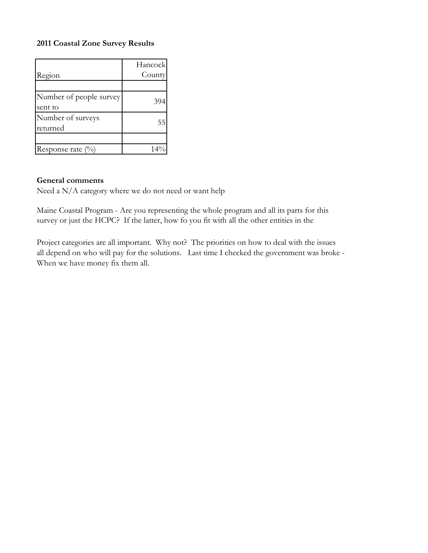## **2011 Coastal Zone Survey Results**

|                         | Hancock |
|-------------------------|---------|
| Region                  | County  |
|                         |         |
| Number of people survey | 39      |
| sent to                 |         |
| Number of surveys       | .b.     |
| returned                |         |
|                         |         |
| Response rate $(\%)$    |         |

## **General comments**

Need a N/A category where we do not need or want help

Maine Coastal Program - Are you representing the whole program and all its parts for this survey or just the HCPC? If the latter, how fo you fit with all the other entities in the

Project categories are all important. Why not? The priorities on how to deal with the issues all depend on who will pay for the solutions. Last time I checked the government was broke - When we have money fix them all.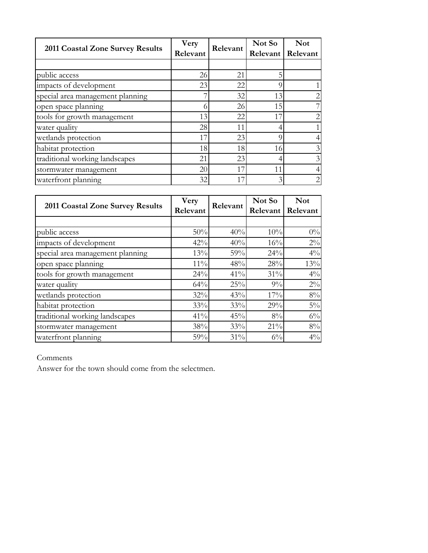| 2011 Coastal Zone Survey Results | Very<br>Relevant | Relevant | Not So<br>Relevant | <b>Not</b><br>Relevant |
|----------------------------------|------------------|----------|--------------------|------------------------|
|                                  |                  |          |                    |                        |
| public access                    | 26               | 21       | 5                  |                        |
| impacts of development           | 23               | 22       |                    |                        |
| special area management planning |                  | 32       | 13                 |                        |
| open space planning              |                  | 26       | 15                 |                        |
| tools for growth management      | 13               | 22       | 17                 | $\overline{2}$         |
| water quality                    | 28               | 11       |                    |                        |
| wetlands protection              | 17               | 23       | O)                 | 4                      |
| habitat protection               | 18               | 18       | 16                 | 3                      |
| traditional working landscapes   | 21               | 23       |                    | $\overline{3}$         |
| stormwater management            | 20               | 17       | 11                 | 4                      |
| waterfront planning              | 32               | 17       | 3                  | $\overline{2}$         |

| 2011 Coastal Zone Survey Results | Very<br>Relevant | Relevant | Not So<br>Relevant | <b>Not</b><br>Relevant |
|----------------------------------|------------------|----------|--------------------|------------------------|
|                                  |                  |          |                    |                        |
| public access                    | 50%              | 40%      | 10%                | $0\%$                  |
| impacts of development           | 42%              | 40%      | 16%                | $2\%$                  |
| special area management planning | 13%              | 59%      | 24%                | $4\%$                  |
| open space planning              | $11\%$           | 48%      | 28%                | 13%                    |
| tools for growth management      | 24%              | 41%      | 31%                | $4\%$                  |
| water quality                    | 64%              | 25%      | $9\%$              | $2\%$                  |
| wetlands protection              | 32%              | 43%      | 17%                | $8\%$                  |
| habitat protection               | 33%              | 33%      | 29%                | $5\%$                  |
| traditional working landscapes   | 41%              | 45%      | 8%                 | $6\%$                  |
| stormwater management            | 38%              | 33%      | 21%                | $8\%$                  |
| waterfront planning              | 59%              | 31%      | $6\%$              | $4\%$                  |

Comments

Answer for the town should come from the selectmen.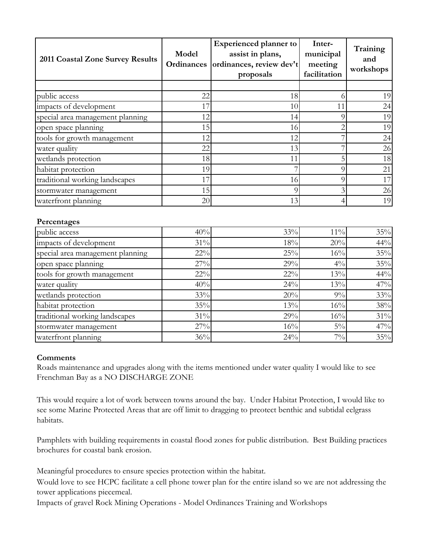| 2011 Coastal Zone Survey Results | Model<br><b>Ordinances</b> | <b>Experienced planner to</b><br>assist in plans,<br>ordinances, review dev't<br>proposals | Inter-<br>municipal<br>meeting<br>facilitation | Training<br>and<br>workshops |
|----------------------------------|----------------------------|--------------------------------------------------------------------------------------------|------------------------------------------------|------------------------------|
|                                  |                            |                                                                                            |                                                |                              |
| public access                    | 22                         | 18                                                                                         | $\Omega$                                       | 19                           |
| impacts of development           | 17                         | 10                                                                                         | 11                                             | 24                           |
| special area management planning | 12                         | 14                                                                                         | $\Omega$                                       | 19                           |
| open space planning              | 15                         | 16                                                                                         | $\overline{2}$                                 | 19                           |
| tools for growth management      | 12                         | 12                                                                                         |                                                | 24                           |
| water quality                    | 22                         | 13                                                                                         |                                                | 26                           |
| wetlands protection              | 18                         | 11                                                                                         |                                                | 18                           |
| habitat protection               | 19                         |                                                                                            | $\Omega$                                       | 21                           |
| traditional working landscapes   | 17                         | 16                                                                                         | $\Omega$                                       | 17                           |
| stormwater management            | 15                         | 9                                                                                          |                                                | 26                           |
| waterfront planning              | 20 <sub>l</sub>            | 13                                                                                         | 4                                              | 19                           |

## **Percentages**

| public access                    | 40% | 33% | $11\%$ | 35%    |
|----------------------------------|-----|-----|--------|--------|
| impacts of development           | 31% | 18% | 20%    | 44%    |
| special area management planning | 22% | 25% | 16%    | 35%    |
| open space planning              | 27% | 29% | $4\%$  | 35%    |
| tools for growth management      | 22% | 22% | 13%    | 44%    |
| water quality                    | 40% | 24% | 13%    | 47%    |
| wetlands protection              | 33% | 20% | 9%     | 33%    |
| habitat protection               | 35% | 13% | 16%    | $38\%$ |
| traditional working landscapes   | 31% | 29% | 16%    | $31\%$ |
| stormwater management            | 27% | 16% | $5\%$  | 47%    |
| waterfront planning              | 36% | 24% | 7%     | 35%    |

## **Comments**

Roads maintenance and upgrades along with the items mentioned under water quality I would like to see Frenchman Bay as a NO DISCHARGE ZONE

This would require a lot of work between towns around the bay. Under Habitat Protection, I would like to see some Marine Protected Areas that are off limit to dragging to preotect benthic and subtidal eelgrass habitats.

Pamphlets with building requirements in coastal flood zones for public distribution. Best Building practices brochures for coastal bank erosion.

Meaningful procedures to ensure species protection within the habitat.

Would love to see HCPC facilitate a cell phone tower plan for the entire island so we are not addressing the tower applications piecemeal.

Impacts of gravel Rock Mining Operations - Model Ordinances Training and Workshops